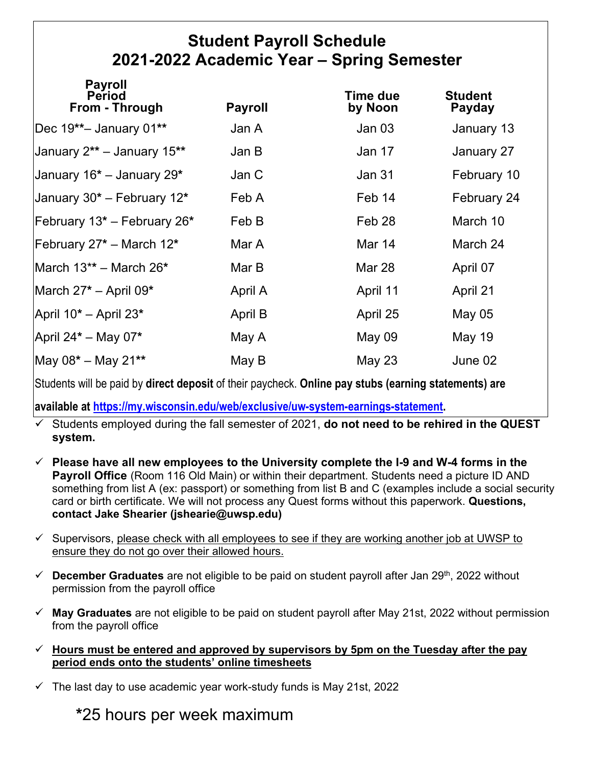## **Student Payroll Schedule 2021-2022 Academic Year – Spring Semester**

| <b>Payroll</b><br><b>Period</b><br>From - Through | <b>Payroll</b> | Time due<br>by Noon | <b>Student</b><br>Payday |
|---------------------------------------------------|----------------|---------------------|--------------------------|
| Dec 19**- January 01**                            | Jan A          | Jan 03              | January 13               |
| January 2** - January 15**                        | Jan B          | Jan 17              | January 27               |
| January 16 <sup>*</sup> – January 29 <sup>*</sup> | Jan C          | Jan 31              | February 10              |
| January 30* - February 12*                        | Feb A          | Feb 14              | February 24              |
| February 13* - February 26*                       | Feb B          | Feb 28              | March 10                 |
| February 27 <sup>*</sup> – March 12 <sup>*</sup>  | Mar A          | Mar 14              | March 24                 |
| March 13** - March 26*                            | Mar B          | <b>Mar 28</b>       | April 07                 |
| March $27^*$ – April 09*                          | April A        | April 11            | April 21                 |
| April 10 <sup>*</sup> - April 23 <sup>*</sup>     | April B        | April 25            | May $05$                 |
| April $24^*$ – May 07*                            | May A          | <b>May 09</b>       | <b>May 19</b>            |
| $\text{May } 08^* - \text{May } 21^{**}$          | May B          | <b>May 23</b>       | June 02                  |

Students will be paid by **direct deposit** of their paycheck. **Online pay stubs (earning statements) are** 

**available at [https://my.wisconsin.edu/web/exclusive/uw-system-earnings-statement.](https://my.wisconsin.edu/web/exclusive/uw-system-earnings-statement)** 

 Students employed during the fall semester of 2021, **do not need to be rehired in the QUEST system.**

- **Please have all new employees to the University complete the I-9 and W-4 forms in the Payroll Office** (Room 116 Old Main) or within their department. Students need a picture ID AND something from list A (ex: passport) or something from list B and C (examples include a social security card or birth certificate. We will not process any Quest forms without this paperwork. **Questions, contact Jake Shearier (jshearie@uwsp.edu)**
- $\checkmark$  Supervisors, please check with all employees to see if they are working another job at UWSP to ensure they do not go over their allowed hours.
- $\checkmark$  **December Graduates** are not eligible to be paid on student payroll after Jan 29<sup>th</sup>, 2022 without permission from the payroll office
- **May Graduates** are not eligible to be paid on student payroll after May 21st, 2022 without permission from the payroll office
- **Hours must be entered and approved by supervisors by 5pm on the Tuesday after the pay period ends onto the students' online timesheets**
- $\checkmark$  The last day to use academic year work-study funds is May 21st, 2022